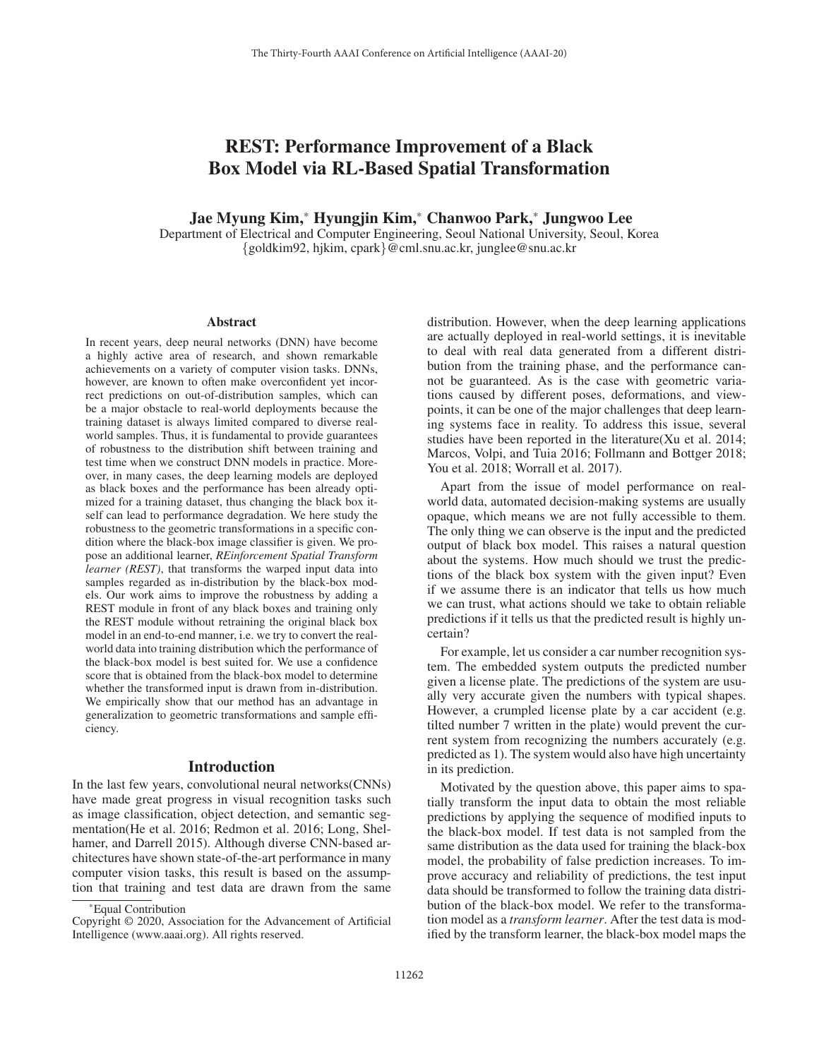# REST: Performance Improvement of a Black Box Model via RL-Based Spatial Transformation

Jae Myung Kim,\* Hyungjin Kim,\* Chanwoo Park,\* Jungwoo Lee

Department of Electrical and Computer Engineering, Seoul National University, Seoul, Korea {goldkim92, hjkim, cpark}@cml.snu.ac.kr, junglee@snu.ac.kr

#### Abstract

In recent years, deep neural networks (DNN) have become a highly active area of research, and shown remarkable achievements on a variety of computer vision tasks. DNNs, however, are known to often make overconfident yet incorrect predictions on out-of-distribution samples, which can be a major obstacle to real-world deployments because the training dataset is always limited compared to diverse realworld samples. Thus, it is fundamental to provide guarantees of robustness to the distribution shift between training and test time when we construct DNN models in practice. Moreover, in many cases, the deep learning models are deployed as black boxes and the performance has been already optimized for a training dataset, thus changing the black box itself can lead to performance degradation. We here study the robustness to the geometric transformations in a specific condition where the black-box image classifier is given. We propose an additional learner, *REinforcement Spatial Transform learner (REST)*, that transforms the warped input data into samples regarded as in-distribution by the black-box models. Our work aims to improve the robustness by adding a REST module in front of any black boxes and training only the REST module without retraining the original black box model in an end-to-end manner, i.e. we try to convert the realworld data into training distribution which the performance of the black-box model is best suited for. We use a confidence score that is obtained from the black-box model to determine whether the transformed input is drawn from in-distribution. We empirically show that our method has an advantage in generalization to geometric transformations and sample efficiency.

### Introduction

In the last few years, convolutional neural networks(CNNs) have made great progress in visual recognition tasks such as image classification, object detection, and semantic segmentation(He et al. 2016; Redmon et al. 2016; Long, Shelhamer, and Darrell 2015). Although diverse CNN-based architectures have shown state-of-the-art performance in many computer vision tasks, this result is based on the assumption that training and test data are drawn from the same

distribution. However, when the deep learning applications are actually deployed in real-world settings, it is inevitable to deal with real data generated from a different distribution from the training phase, and the performance cannot be guaranteed. As is the case with geometric variations caused by different poses, deformations, and viewpoints, it can be one of the major challenges that deep learning systems face in reality. To address this issue, several studies have been reported in the literature(Xu et al. 2014; Marcos, Volpi, and Tuia 2016; Follmann and Bottger 2018; You et al. 2018; Worrall et al. 2017).

Apart from the issue of model performance on realworld data, automated decision-making systems are usually opaque, which means we are not fully accessible to them. The only thing we can observe is the input and the predicted output of black box model. This raises a natural question about the systems. How much should we trust the predictions of the black box system with the given input? Even if we assume there is an indicator that tells us how much we can trust, what actions should we take to obtain reliable predictions if it tells us that the predicted result is highly uncertain?

For example, let us consider a car number recognition system. The embedded system outputs the predicted number given a license plate. The predictions of the system are usually very accurate given the numbers with typical shapes. However, a crumpled license plate by a car accident (e.g. tilted number 7 written in the plate) would prevent the current system from recognizing the numbers accurately (e.g. predicted as 1). The system would also have high uncertainty in its prediction.

Motivated by the question above, this paper aims to spatially transform the input data to obtain the most reliable predictions by applying the sequence of modified inputs to the black-box model. If test data is not sampled from the same distribution as the data used for training the black-box model, the probability of false prediction increases. To improve accuracy and reliability of predictions, the test input data should be transformed to follow the training data distribution of the black-box model. We refer to the transformation model as a *transform learner*. After the test data is modified by the transform learner, the black-box model maps the

<sup>\*</sup>Equal Contribution

Copyright © 2020, Association for the Advancement of Artificial Intelligence (www.aaai.org). All rights reserved.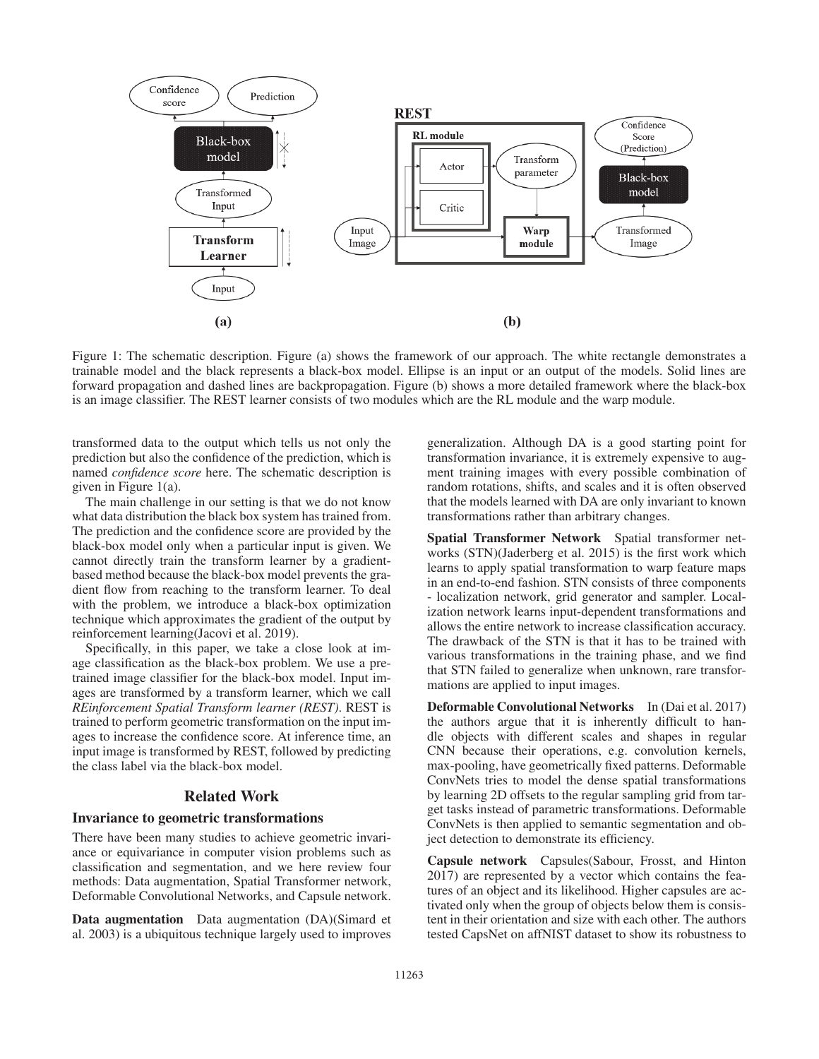

Figure 1: The schematic description. Figure (a) shows the framework of our approach. The white rectangle demonstrates a trainable model and the black represents a black-box model. Ellipse is an input or an output of the models. Solid lines are forward propagation and dashed lines are backpropagation. Figure (b) shows a more detailed framework where the black-box is an image classifier. The REST learner consists of two modules which are the RL module and the warp module.

transformed data to the output which tells us not only the prediction but also the confidence of the prediction, which is named *confidence score* here. The schematic description is given in Figure 1(a).

The main challenge in our setting is that we do not know what data distribution the black box system has trained from. The prediction and the confidence score are provided by the black-box model only when a particular input is given. We cannot directly train the transform learner by a gradientbased method because the black-box model prevents the gradient flow from reaching to the transform learner. To deal with the problem, we introduce a black-box optimization technique which approximates the gradient of the output by reinforcement learning(Jacovi et al. 2019).

Specifically, in this paper, we take a close look at image classification as the black-box problem. We use a pretrained image classifier for the black-box model. Input images are transformed by a transform learner, which we call *REinforcement Spatial Transform learner (REST)*. REST is trained to perform geometric transformation on the input images to increase the confidence score. At inference time, an input image is transformed by REST, followed by predicting the class label via the black-box model.

# Related Work

#### Invariance to geometric transformations

There have been many studies to achieve geometric invariance or equivariance in computer vision problems such as classification and segmentation, and we here review four methods: Data augmentation, Spatial Transformer network, Deformable Convolutional Networks, and Capsule network.

Data augmentation Data augmentation (DA)(Simard et al. 2003) is a ubiquitous technique largely used to improves

generalization. Although DA is a good starting point for transformation invariance, it is extremely expensive to augment training images with every possible combination of random rotations, shifts, and scales and it is often observed that the models learned with DA are only invariant to known transformations rather than arbitrary changes.

Spatial Transformer Network Spatial transformer networks (STN)(Jaderberg et al. 2015) is the first work which learns to apply spatial transformation to warp feature maps in an end-to-end fashion. STN consists of three components - localization network, grid generator and sampler. Localization network learns input-dependent transformations and allows the entire network to increase classification accuracy. The drawback of the STN is that it has to be trained with various transformations in the training phase, and we find that STN failed to generalize when unknown, rare transformations are applied to input images.

Deformable Convolutional Networks In (Dai et al. 2017) the authors argue that it is inherently difficult to handle objects with different scales and shapes in regular CNN because their operations, e.g. convolution kernels, max-pooling, have geometrically fixed patterns. Deformable ConvNets tries to model the dense spatial transformations by learning 2D offsets to the regular sampling grid from target tasks instead of parametric transformations. Deformable ConvNets is then applied to semantic segmentation and object detection to demonstrate its efficiency.

Capsule network Capsules(Sabour, Frosst, and Hinton 2017) are represented by a vector which contains the features of an object and its likelihood. Higher capsules are activated only when the group of objects below them is consistent in their orientation and size with each other. The authors tested CapsNet on affNIST dataset to show its robustness to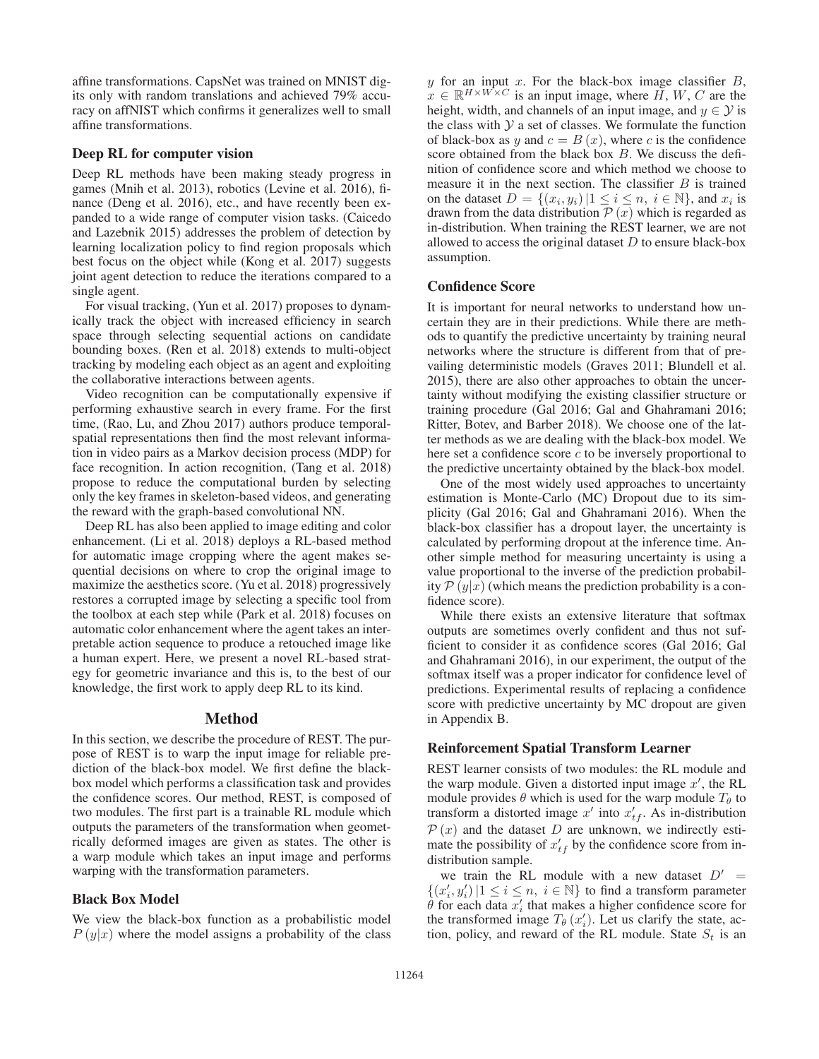affine transformations. CapsNet was trained on MNIST digits only with random translations and achieved 79% accuracy on affNIST which confirms it generalizes well to small affine transformations.

#### Deep RL for computer vision

Deep RL methods have been making steady progress in games (Mnih et al. 2013), robotics (Levine et al. 2016), finance (Deng et al. 2016), etc., and have recently been expanded to a wide range of computer vision tasks. (Caicedo and Lazebnik 2015) addresses the problem of detection by learning localization policy to find region proposals which best focus on the object while (Kong et al. 2017) suggests joint agent detection to reduce the iterations compared to a single agent.

For visual tracking, (Yun et al. 2017) proposes to dynamically track the object with increased efficiency in search space through selecting sequential actions on candidate bounding boxes. (Ren et al. 2018) extends to multi-object tracking by modeling each object as an agent and exploiting the collaborative interactions between agents.

Video recognition can be computationally expensive if performing exhaustive search in every frame. For the first time, (Rao, Lu, and Zhou 2017) authors produce temporalspatial representations then find the most relevant information in video pairs as a Markov decision process (MDP) for face recognition. In action recognition, (Tang et al. 2018) propose to reduce the computational burden by selecting only the key frames in skeleton-based videos, and generating the reward with the graph-based convolutional NN.

Deep RL has also been applied to image editing and color enhancement. (Li et al. 2018) deploys a RL-based method for automatic image cropping where the agent makes sequential decisions on where to crop the original image to maximize the aesthetics score. (Yu et al. 2018) progressively restores a corrupted image by selecting a specific tool from the toolbox at each step while (Park et al. 2018) focuses on automatic color enhancement where the agent takes an interpretable action sequence to produce a retouched image like a human expert. Here, we present a novel RL-based strategy for geometric invariance and this is, to the best of our knowledge, the first work to apply deep RL to its kind.

#### Method

In this section, we describe the procedure of REST. The purpose of REST is to warp the input image for reliable prediction of the black-box model. We first define the blackbox model which performs a classification task and provides the confidence scores. Our method, REST, is composed of two modules. The first part is a trainable RL module which outputs the parameters of the transformation when geometrically deformed images are given as states. The other is a warp module which takes an input image and performs warping with the transformation parameters.

### Black Box Model

We view the black-box function as a probabilistic model  $P(y|x)$  where the model assigns a probability of the class

 $y$  for an input  $x$ . For the black-box image classifier  $B$ ,  $x \in \mathbb{R}^{H \times W \times C}$  is an input image, where  $\tilde{H}$ , W, C are the height, width, and channels of an input image, and  $y \in \mathcal{Y}$  is the class with  $\mathcal Y$  a set of classes. We formulate the function of black-box as y and  $c = B(x)$ , where c is the confidence score obtained from the black box B. We discuss the definition of confidence score and which method we choose to measure it in the next section. The classifier  $B$  is trained on the dataset  $D = \{(x_i, y_i) | 1 \le i \le n, i \in \mathbb{N}\}\)$ , and  $x_i$  is drawn from the data distribution  $P(x)$  which is regarded as in-distribution. When training the REST learner, we are not allowed to access the original dataset  $D$  to ensure black-box assumption.

### Confidence Score

It is important for neural networks to understand how uncertain they are in their predictions. While there are methods to quantify the predictive uncertainty by training neural networks where the structure is different from that of prevailing deterministic models (Graves 2011; Blundell et al. 2015), there are also other approaches to obtain the uncertainty without modifying the existing classifier structure or training procedure (Gal 2016; Gal and Ghahramani 2016; Ritter, Botev, and Barber 2018). We choose one of the latter methods as we are dealing with the black-box model. We here set a confidence score  $c$  to be inversely proportional to the predictive uncertainty obtained by the black-box model.

One of the most widely used approaches to uncertainty estimation is Monte-Carlo (MC) Dropout due to its simplicity (Gal 2016; Gal and Ghahramani 2016). When the black-box classifier has a dropout layer, the uncertainty is calculated by performing dropout at the inference time. Another simple method for measuring uncertainty is using a value proportional to the inverse of the prediction probability  $P(y|x)$  (which means the prediction probability is a confidence score).

While there exists an extensive literature that softmax outputs are sometimes overly confident and thus not sufficient to consider it as confidence scores (Gal 2016; Gal and Ghahramani 2016), in our experiment, the output of the softmax itself was a proper indicator for confidence level of predictions. Experimental results of replacing a confidence score with predictive uncertainty by MC dropout are given in Appendix B.

### Reinforcement Spatial Transform Learner

REST learner consists of two modules: the RL module and the warp module. Given a distorted input image  $x'$ , the RL module provides  $\theta$  which is used for the warp module  $T_{\theta}$  to transform a distorted image  $x'$  into  $x'_{tf}$ . As in-distribution  $\mathcal{P}(x)$  and the dataset D are unknown, we indirectly estimate the possibility of  $x_{tf}'$  by the confidence score from indistribution sample.

we train the RL module with a new dataset  $D'$  $\{(x'_i, y'_i) | 1 \le i \le n, i \in \mathbb{N}\}\$  to find a transform parameter  $\theta$  for each data  $x'$  that makes a higher confidence score for  $\theta$  for each data  $x_i'$  that makes a higher confidence score for the transformed image  $T_{\theta}(x_i')$ . Let us clarify the state, action policy and reward of the RL module. State  $S_t$  is an tion, policy, and reward of the RL module. State  $S_t$  is an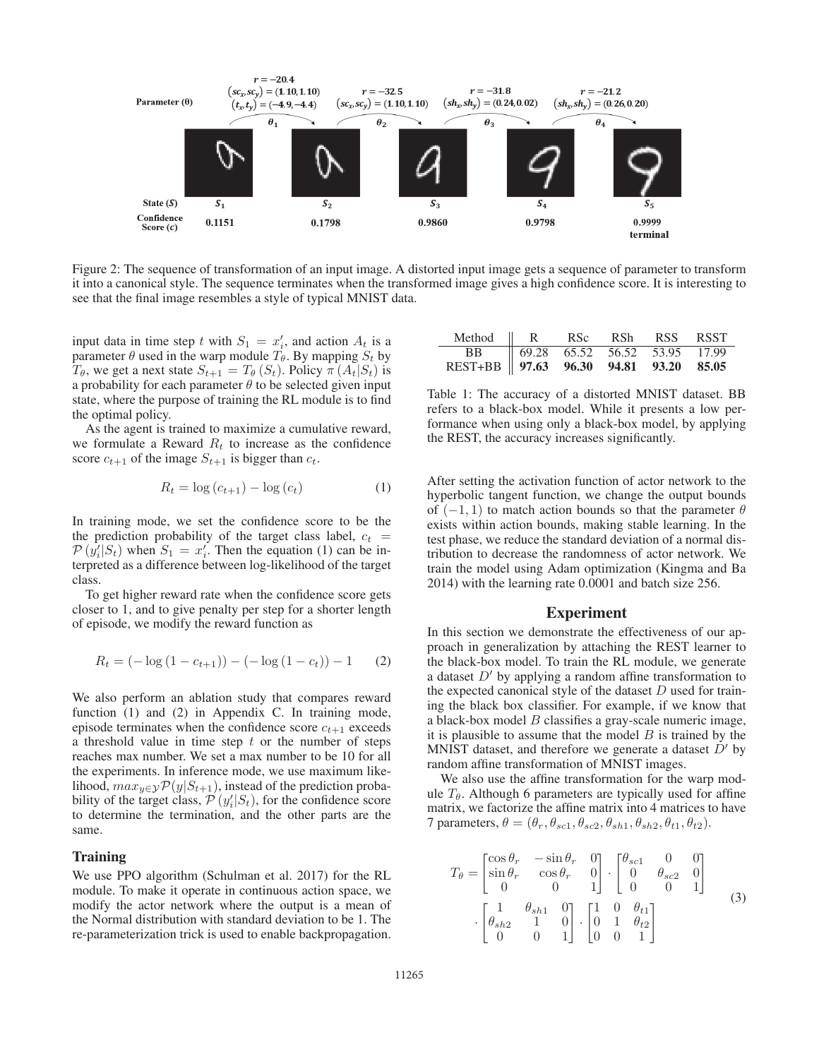

Figure 2: The sequence of transformation of an input image. A distorted input image gets a sequence of parameter to transform it into a canonical style. The sequence terminates when the transformed image gives a high confidence score. It is interesting to see that the final image resembles a style of typical MNIST data.

input data in time step t with  $S_1 = x'_i$ , and action  $A_t$  is a parameter  $\theta$  used in the warn module  $T_a$ . By manning  $S_t$  by parameter  $\theta$  used in the warp module  $T_{\theta}$ . By mapping  $S_t$  by  $T_{\theta}$ , we get a next state  $S_{t+1} = T_{\theta}(S_t)$ . Policy  $\pi(A_t|S_t)$  is a probability for each parameter  $\theta$  to be selected given input state, where the purpose of training the RL module is to find the optimal policy.

As the agent is trained to maximize a cumulative reward, we formulate a Reward  $R_t$  to increase as the confidence score  $c_{t+1}$  of the image  $S_{t+1}$  is bigger than  $c_t$ .

$$
R_t = \log(c_{t+1}) - \log(c_t)
$$
 (1)

In training mode, we set the confidence score to be the the prediction probability of the target class label,  $c_t$  =  $\mathcal{P}(y_i'|S_t)$  when  $S_1 = x_i'$ . Then the equation (1) can be in-<br>terpreted as a difference between log-likelihood of the target terpreted as a difference between log-likelihood of the target class.

To get higher reward rate when the confidence score gets closer to 1, and to give penalty per step for a shorter length of episode, we modify the reward function as

$$
R_t = (-\log(1 - c_{t+1})) - (-\log(1 - c_t)) - 1 \qquad (2)
$$

We also perform an ablation study that compares reward function (1) and (2) in Appendix C. In training mode, episode terminates when the confidence score  $c_{t+1}$  exceeds a threshold value in time step  $t$  or the number of steps reaches max number. We set a max number to be 10 for all the experiments. In inference mode, we use maximum likelihood,  $max_{y \in \mathcal{Y}} \mathcal{P}(y|S_{t+1})$ , instead of the prediction probability of the target class,  $\mathcal{P}(y_i'|S_t)$ , for the confidence score to determine the termination and the other parts are the to determine the termination, and the other parts are the same.

#### Training

We use PPO algorithm (Schulman et al. 2017) for the RL module. To make it operate in continuous action space, we modify the actor network where the output is a mean of the Normal distribution with standard deviation to be 1. The re-parameterization trick is used to enable backpropagation.

| Method    R RSc RSh RSS RSST                                              |  |  |  |
|---------------------------------------------------------------------------|--|--|--|
|                                                                           |  |  |  |
| BB 69.28 65.52 56.52 53.95 17.99<br>REST+BB 97.63 96.30 94.81 93.20 85.05 |  |  |  |

Table 1: The accuracy of a distorted MNIST dataset. BB refers to a black-box model. While it presents a low performance when using only a black-box model, by applying the REST, the accuracy increases significantly.

After setting the activation function of actor network to the hyperbolic tangent function, we change the output bounds of  $(-1, 1)$  to match action bounds so that the parameter  $\theta$ exists within action bounds, making stable learning. In the test phase, we reduce the standard deviation of a normal distribution to decrease the randomness of actor network. We train the model using Adam optimization (Kingma and Ba 2014) with the learning rate 0.0001 and batch size 256.

#### Experiment

In this section we demonstrate the effectiveness of our approach in generalization by attaching the REST learner to the black-box model. To train the RL module, we generate a dataset  $D'$  by applying a random affine transformation to the expected canonical style of the dataset  $D$  used for training the black box classifier. For example, if we know that a black-box model  $B$  classifies a gray-scale numeric image, it is plausible to assume that the model  $B$  is trained by the MNIST dataset, and therefore we generate a dataset  $D'$  by random affine transformation of MNIST images.

We also use the affine transformation for the warp module  $T_{\theta}$ . Although 6 parameters are typically used for affine matrix, we factorize the affine matrix into 4 matrices to have 7 parameters,  $\theta = (\theta_r, \theta_{sc1}, \theta_{sc2}, \theta_{sh1}, \theta_{sh2}, \theta_{t1}, \theta_{t2}).$ 

$$
T_{\theta} = \begin{bmatrix} \cos \theta_r & -\sin \theta_r & 0 \\ \sin \theta_r & \cos \theta_r & 0 \\ 0 & 0 & 1 \end{bmatrix} \cdot \begin{bmatrix} \theta_{sc1} & 0 & 0 \\ 0 & \theta_{sc2} & 0 \\ 0 & 0 & 1 \end{bmatrix}
$$

$$
\cdot \begin{bmatrix} 1 & \theta_{sh1} & 0 \\ \theta_{sh2} & 1 & 0 \\ 0 & 0 & 1 \end{bmatrix} \cdot \begin{bmatrix} 1 & 0 & \theta_{t1} \\ 0 & 1 & \theta_{t2} \\ 0 & 0 & 1 \end{bmatrix}
$$
(3)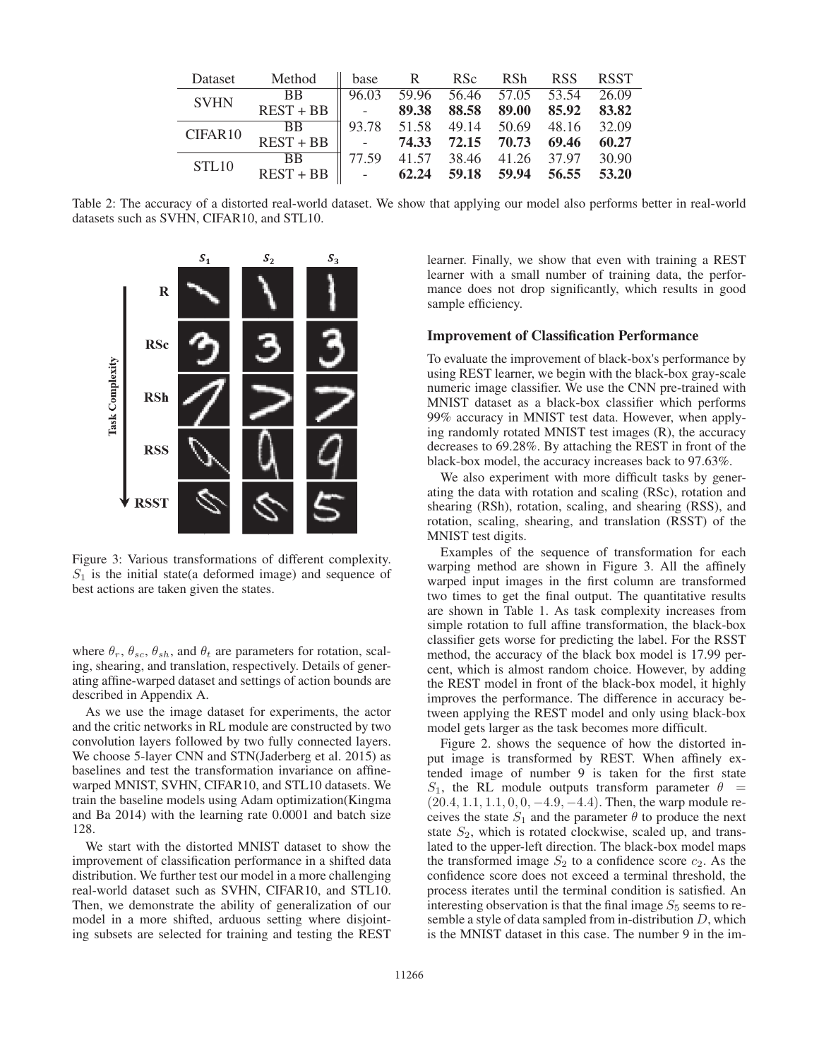| Dataset     | Method      | base                                                      | $\mathbb{R}$ | RS <sub>c</sub> | <b>RSh</b>              | <b>RSS</b>  | <b>RSST</b> |
|-------------|-------------|-----------------------------------------------------------|--------------|-----------------|-------------------------|-------------|-------------|
| <b>SVHN</b> | <b>BB</b>   | 96.03                                                     | 59.96        |                 | 56.46 57.05 53.54       |             | 26.09       |
|             | $REST + BB$ | $\overline{\phantom{a}}$                                  | 89.38        |                 | 88.58 89.00             | 85.92 83.82 |             |
| CIFAR10     | <b>BB</b>   |                                                           | 93.78 51.58  | 49.14           | 50.69                   | 48.16       | 32.09       |
|             | $REST + BB$ | $\mathcal{L}^{\text{max}}$ and $\mathcal{L}^{\text{max}}$ | 74.33        | 72.15           | 70.73                   | 69.46       | 60.27       |
| STL10       | <b>BB</b>   | 77.59                                                     |              |                 | 41.57 38.46 41.26 37.97 |             | 30.90       |
|             | $REST + BB$ | $\mathbb{L}$                                              | 62.24        |                 | 59.18 59.94 56.55       |             | 53.20       |

Table 2: The accuracy of a distorted real-world dataset. We show that applying our model also performs better in real-world datasets such as SVHN, CIFAR10, and STL10.



Figure 3: Various transformations of different complexity.  $S_1$  is the initial state(a deformed image) and sequence of best actions are taken given the states.

where  $\theta_r$ ,  $\theta_{sc}$ ,  $\theta_{sh}$ , and  $\theta_t$  are parameters for rotation, scaling, shearing, and translation, respectively. Details of generating affine-warped dataset and settings of action bounds are described in Appendix A.

As we use the image dataset for experiments, the actor and the critic networks in RL module are constructed by two convolution layers followed by two fully connected layers. We choose 5-layer CNN and STN(Jaderberg et al. 2015) as baselines and test the transformation invariance on affinewarped MNIST, SVHN, CIFAR10, and STL10 datasets. We train the baseline models using Adam optimization(Kingma and Ba 2014) with the learning rate 0.0001 and batch size 128.

We start with the distorted MNIST dataset to show the improvement of classification performance in a shifted data distribution. We further test our model in a more challenging real-world dataset such as SVHN, CIFAR10, and STL10. Then, we demonstrate the ability of generalization of our model in a more shifted, arduous setting where disjointing subsets are selected for training and testing the REST learner. Finally, we show that even with training a REST learner with a small number of training data, the performance does not drop significantly, which results in good sample efficiency.

#### Improvement of Classification Performance

To evaluate the improvement of black-box's performance by using REST learner, we begin with the black-box gray-scale numeric image classifier. We use the CNN pre-trained with MNIST dataset as a black-box classifier which performs 99% accuracy in MNIST test data. However, when applying randomly rotated MNIST test images (R), the accuracy decreases to 69.28%. By attaching the REST in front of the black-box model, the accuracy increases back to 97.63%.

We also experiment with more difficult tasks by generating the data with rotation and scaling (RSc), rotation and shearing (RSh), rotation, scaling, and shearing (RSS), and rotation, scaling, shearing, and translation (RSST) of the MNIST test digits.

Examples of the sequence of transformation for each warping method are shown in Figure 3. All the affinely warped input images in the first column are transformed two times to get the final output. The quantitative results are shown in Table 1. As task complexity increases from simple rotation to full affine transformation, the black-box classifier gets worse for predicting the label. For the RSST method, the accuracy of the black box model is 17.99 percent, which is almost random choice. However, by adding the REST model in front of the black-box model, it highly improves the performance. The difference in accuracy between applying the REST model and only using black-box model gets larger as the task becomes more difficult.

Figure 2. shows the sequence of how the distorted input image is transformed by REST. When affinely extended image of number 9 is taken for the first state  $S_1$ , the RL module outputs transform parameter  $\theta =$  $(20.4, 1.1, 1.1, 0, 0, -4.9, -4.4)$ . Then, the warp module receives the state  $S_1$  and the parameter  $\theta$  to produce the next state  $S_2$ , which is rotated clockwise, scaled up, and translated to the upper-left direction. The black-box model maps the transformed image  $S_2$  to a confidence score  $c_2$ . As the confidence score does not exceed a terminal threshold, the process iterates until the terminal condition is satisfied. An interesting observation is that the final image  $S_5$  seems to resemble a style of data sampled from in-distribution  $D$ , which is the MNIST dataset in this case. The number 9 in the im-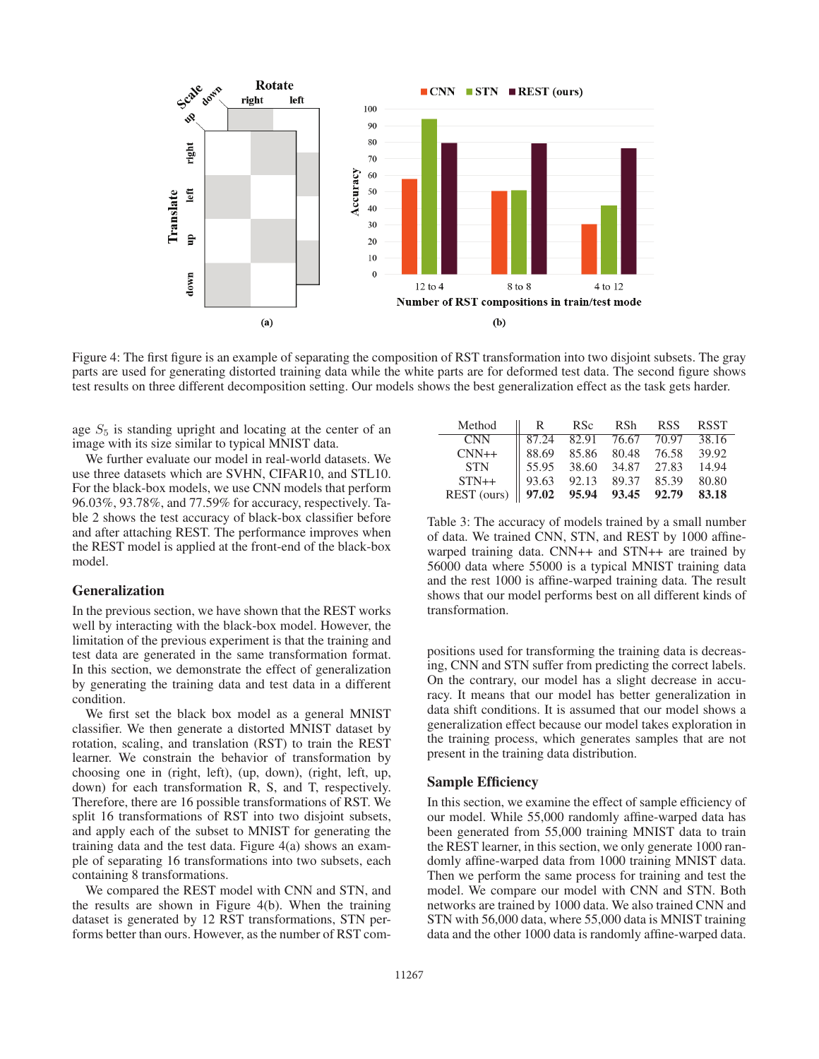

Figure 4: The first figure is an example of separating the composition of RST transformation into two disjoint subsets. The gray parts are used for generating distorted training data while the white parts are for deformed test data. The second figure shows test results on three different decomposition setting. Our models shows the best generalization effect as the task gets harder.

age  $S_5$  is standing upright and locating at the center of an image with its size similar to typical MNIST data.

We further evaluate our model in real-world datasets. We use three datasets which are SVHN, CIFAR10, and STL10. For the black-box models, we use CNN models that perform 96.03%, 93.78%, and 77.59% for accuracy, respectively. Table 2 shows the test accuracy of black-box classifier before and after attaching REST. The performance improves when the REST model is applied at the front-end of the black-box model.

### Generalization

In the previous section, we have shown that the REST works well by interacting with the black-box model. However, the limitation of the previous experiment is that the training and test data are generated in the same transformation format. In this section, we demonstrate the effect of generalization by generating the training data and test data in a different condition.

We first set the black box model as a general MNIST classifier. We then generate a distorted MNIST dataset by rotation, scaling, and translation (RST) to train the REST learner. We constrain the behavior of transformation by choosing one in (right, left), (up, down), (right, left, up, down) for each transformation R, S, and T, respectively. Therefore, there are 16 possible transformations of RST. We split 16 transformations of RST into two disjoint subsets, and apply each of the subset to MNIST for generating the training data and the test data. Figure 4(a) shows an example of separating 16 transformations into two subsets, each containing 8 transformations.

We compared the REST model with CNN and STN, and the results are shown in Figure 4(b). When the training dataset is generated by 12 RST transformations, STN performs better than ours. However, as the number of RST com-

| Method                                    | R.                | RS <sub>c</sub> | RSh               | <b>RSS</b> | <b>RSST</b> |
|-------------------------------------------|-------------------|-----------------|-------------------|------------|-------------|
| <b>CNN</b>                                | 87.24             |                 | 82.91 76.67       | 70.97      | 38.16       |
| $CNN++$                                   | 88.69             |                 | 85.86 80.48 76.58 |            | 39.92       |
| <b>STN</b>                                | $\parallel$ 55.95 |                 | 38.60 34.87 27.83 |            | 14.94       |
| $STN++$                                   | 93.63             |                 | 92.13 89.37 85.39 |            | 80.80       |
| REST (ours) $\parallel$ 97.02 95.94 93.45 |                   |                 |                   | 92.79      | 83.18       |

Table 3: The accuracy of models trained by a small number of data. We trained CNN, STN, and REST by 1000 affinewarped training data. CNN++ and STN++ are trained by 56000 data where 55000 is a typical MNIST training data and the rest 1000 is affine-warped training data. The result shows that our model performs best on all different kinds of transformation.

positions used for transforming the training data is decreasing, CNN and STN suffer from predicting the correct labels. On the contrary, our model has a slight decrease in accuracy. It means that our model has better generalization in data shift conditions. It is assumed that our model shows a generalization effect because our model takes exploration in the training process, which generates samples that are not present in the training data distribution.

### Sample Efficiency

In this section, we examine the effect of sample efficiency of our model. While 55,000 randomly affine-warped data has been generated from 55,000 training MNIST data to train the REST learner, in this section, we only generate 1000 randomly affine-warped data from 1000 training MNIST data. Then we perform the same process for training and test the model. We compare our model with CNN and STN. Both networks are trained by 1000 data. We also trained CNN and STN with 56,000 data, where 55,000 data is MNIST training data and the other 1000 data is randomly affine-warped data.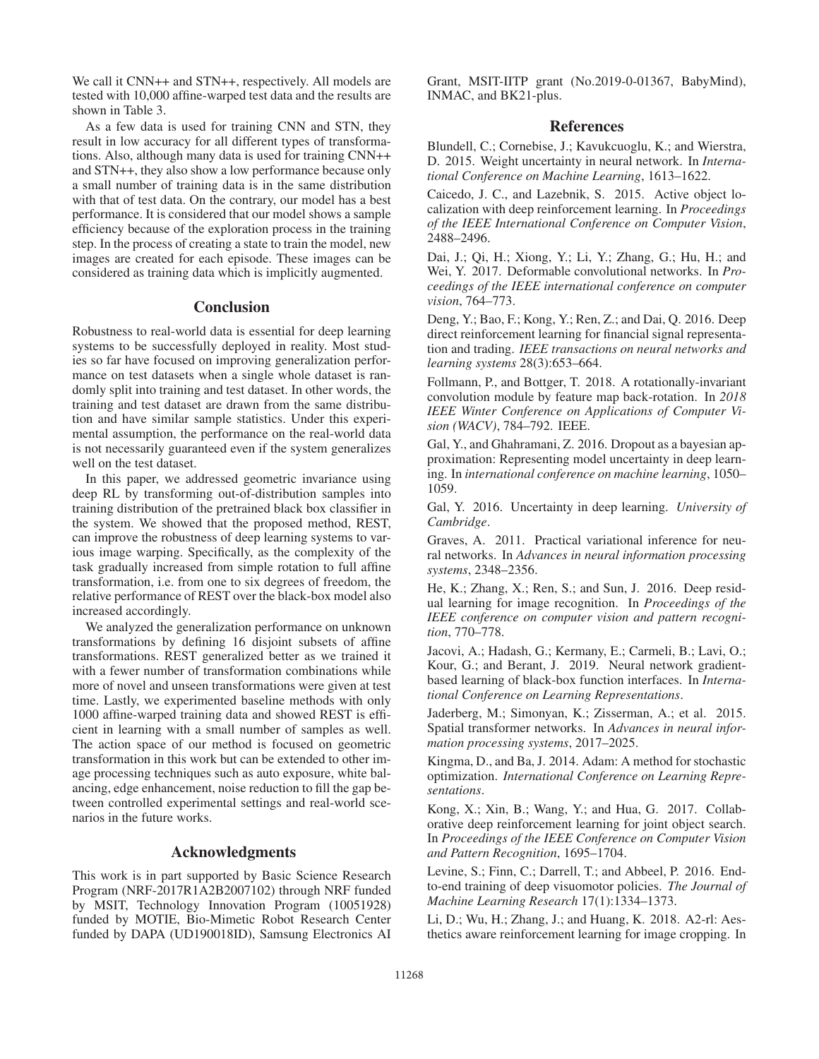We call it CNN++ and STN++, respectively. All models are tested with 10,000 affine-warped test data and the results are shown in Table 3.

As a few data is used for training CNN and STN, they result in low accuracy for all different types of transformations. Also, although many data is used for training CNN++ and STN++, they also show a low performance because only a small number of training data is in the same distribution with that of test data. On the contrary, our model has a best performance. It is considered that our model shows a sample efficiency because of the exploration process in the training step. In the process of creating a state to train the model, new images are created for each episode. These images can be considered as training data which is implicitly augmented.

# Conclusion

Robustness to real-world data is essential for deep learning systems to be successfully deployed in reality. Most studies so far have focused on improving generalization performance on test datasets when a single whole dataset is randomly split into training and test dataset. In other words, the training and test dataset are drawn from the same distribution and have similar sample statistics. Under this experimental assumption, the performance on the real-world data is not necessarily guaranteed even if the system generalizes well on the test dataset.

In this paper, we addressed geometric invariance using deep RL by transforming out-of-distribution samples into training distribution of the pretrained black box classifier in the system. We showed that the proposed method, REST, can improve the robustness of deep learning systems to various image warping. Specifically, as the complexity of the task gradually increased from simple rotation to full affine transformation, i.e. from one to six degrees of freedom, the relative performance of REST over the black-box model also increased accordingly.

We analyzed the generalization performance on unknown transformations by defining 16 disjoint subsets of affine transformations. REST generalized better as we trained it with a fewer number of transformation combinations while more of novel and unseen transformations were given at test time. Lastly, we experimented baseline methods with only 1000 affine-warped training data and showed REST is efficient in learning with a small number of samples as well. The action space of our method is focused on geometric transformation in this work but can be extended to other image processing techniques such as auto exposure, white balancing, edge enhancement, noise reduction to fill the gap between controlled experimental settings and real-world scenarios in the future works.

# Acknowledgments

This work is in part supported by Basic Science Research Program (NRF-2017R1A2B2007102) through NRF funded by MSIT, Technology Innovation Program (10051928) funded by MOTIE, Bio-Mimetic Robot Research Center funded by DAPA (UD190018ID), Samsung Electronics AI

Grant, MSIT-IITP grant (No.2019-0-01367, BabyMind), INMAC, and BK21-plus.

### References

Blundell, C.; Cornebise, J.; Kavukcuoglu, K.; and Wierstra, D. 2015. Weight uncertainty in neural network. In *International Conference on Machine Learning*, 1613–1622.

Caicedo, J. C., and Lazebnik, S. 2015. Active object localization with deep reinforcement learning. In *Proceedings of the IEEE International Conference on Computer Vision*, 2488–2496.

Dai, J.; Qi, H.; Xiong, Y.; Li, Y.; Zhang, G.; Hu, H.; and Wei, Y. 2017. Deformable convolutional networks. In *Proceedings of the IEEE international conference on computer vision*, 764–773.

Deng, Y.; Bao, F.; Kong, Y.; Ren, Z.; and Dai, Q. 2016. Deep direct reinforcement learning for financial signal representation and trading. *IEEE transactions on neural networks and learning systems* 28(3):653–664.

Follmann, P., and Bottger, T. 2018. A rotationally-invariant convolution module by feature map back-rotation. In *2018 IEEE Winter Conference on Applications of Computer Vision (WACV)*, 784–792. IEEE.

Gal, Y., and Ghahramani, Z. 2016. Dropout as a bayesian approximation: Representing model uncertainty in deep learning. In *international conference on machine learning*, 1050– 1059.

Gal, Y. 2016. Uncertainty in deep learning. *University of Cambridge*.

Graves, A. 2011. Practical variational inference for neural networks. In *Advances in neural information processing systems*, 2348–2356.

He, K.; Zhang, X.; Ren, S.; and Sun, J. 2016. Deep residual learning for image recognition. In *Proceedings of the IEEE conference on computer vision and pattern recognition*, 770–778.

Jacovi, A.; Hadash, G.; Kermany, E.; Carmeli, B.; Lavi, O.; Kour, G.; and Berant, J. 2019. Neural network gradientbased learning of black-box function interfaces. In *International Conference on Learning Representations*.

Jaderberg, M.; Simonyan, K.; Zisserman, A.; et al. 2015. Spatial transformer networks. In *Advances in neural information processing systems*, 2017–2025.

Kingma, D., and Ba, J. 2014. Adam: A method for stochastic optimization. *International Conference on Learning Representations*.

Kong, X.; Xin, B.; Wang, Y.; and Hua, G. 2017. Collaborative deep reinforcement learning for joint object search. In *Proceedings of the IEEE Conference on Computer Vision and Pattern Recognition*, 1695–1704.

Levine, S.; Finn, C.; Darrell, T.; and Abbeel, P. 2016. Endto-end training of deep visuomotor policies. *The Journal of Machine Learning Research* 17(1):1334–1373.

Li, D.; Wu, H.; Zhang, J.; and Huang, K. 2018. A2-rl: Aesthetics aware reinforcement learning for image cropping. In